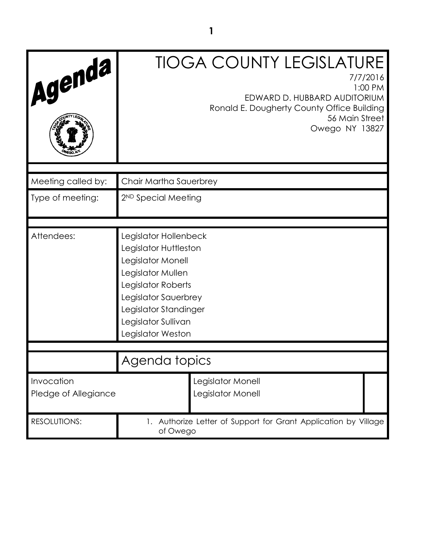| Agenda                             | <b>TIOGA COUNTY LEGISLATURE</b><br>7/7/2016<br>1:00 PM<br>EDWARD D. HUBBARD AUDITORIUM<br>Ronald E. Dougherty County Office Building<br>56 Main Street<br>Owego NY 13827                                    |
|------------------------------------|-------------------------------------------------------------------------------------------------------------------------------------------------------------------------------------------------------------|
| Meeting called by:                 | Chair Martha Sauerbrey                                                                                                                                                                                      |
| Type of meeting:                   | 2 <sup>ND</sup> Special Meeting                                                                                                                                                                             |
|                                    |                                                                                                                                                                                                             |
| Attendees:                         | Legislator Hollenbeck<br>Legislator Huttleston<br>Legislator Monell<br>Legislator Mullen<br>Legislator Roberts<br>Legislator Sauerbrey<br>Legislator Standinger<br>Legislator Sullivan<br>Legislator Weston |
|                                    |                                                                                                                                                                                                             |
|                                    | Agenda topics                                                                                                                                                                                               |
| Invocation<br>Pledge of Allegiance | Legislator Monell<br>Legislator Monell                                                                                                                                                                      |
| <b>RESOLUTIONS:</b>                | 1. Authorize Letter of Support for Grant Application by Village<br>of Owego                                                                                                                                 |